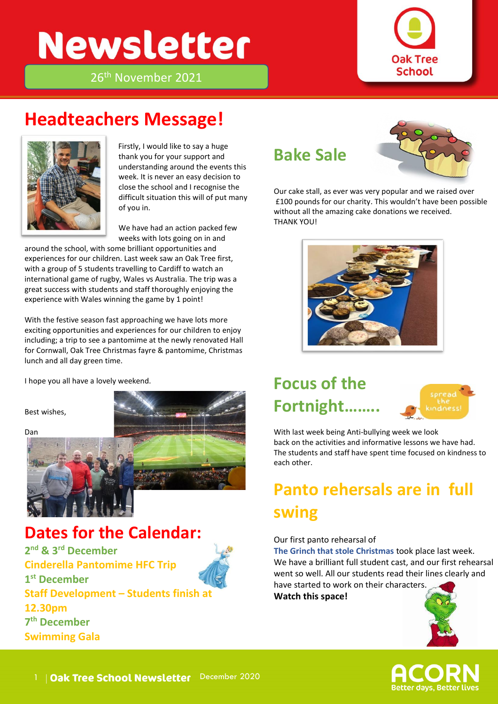# **Newsletter**



26th November 2021

### **Headteachers Message!**



Firstly, I would like to say a huge<br>... thank you for your support and understanding around the events this week. It is never an easy decision to close the school and I recognise the difficult situation this will of put many of you in.

We have had an action packed few weeks with lots going on in and

around the school, with some brilliant opportunities and experiences for our children. Last week saw an Oak Tree first, with a group of 5 students travelling to Cardiff to watch an international game of rugby, Wales vs Australia. The trip was a great success with students and staff thoroughly enjoying the experience with Wales winning the game by 1 point!

With the festive season fast approaching we have lots more exciting opportunities and experiences for our children to enjoy including; a trip to see a pantomime at the newly renovated Hall for Cornwall, Oak Tree Christmas fayre & pantomime, Christmas lunch and all day green time.

I hope you all have a lovely weekend.

Best wishes,

Dan



**Dates for the Calendar:** 

**2 nd & 3rd December Cinderella Pantomime HFC Trip 1 st December Staff Development – Students finish at 12.30pm 7 th December Swimming Gala** 

#### **Bake Sale**



Our cake stall, as ever was very popular and we raised over £100 pounds for our charity. This wouldn't have been possible without all the amazing cake donations we received. THANK YOU!



### **Focus of the Fortnight……..**



With last week being Anti-bullying week we look back on the activities and informative lessons we have had. The students and staff have spent time focused on kindness to each other.

## **Panto rehersals are in full swing**

#### Our first panto rehearsal of

**The Grinch that stole Christmas** took place last week. We have a brilliant full student cast, and our first rehearsal went so well. All our students read their lines clearly and have started to work on their characters.

**Watch this space!**



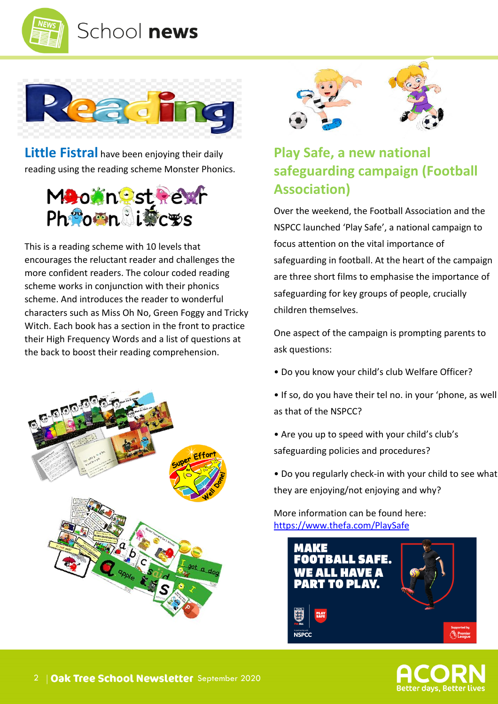



**Little Fistral** have been enjoying their daily reading using the reading scheme Monster Phonics.



This is a reading scheme with 10 levels that encourages the reluctant reader and challenges the more confident readers. The colour coded reading scheme works in conjunction with their phonics scheme. And introduces the reader to wonderful characters such as Miss Oh No, Green Foggy and Tricky Witch. Each book has a section in the front to practice their High Frequency Words and a list of questions at the back to boost their reading comprehension.





#### **Play Safe, a new national safeguarding campaign (Football Association)**

Over the weekend, the Football Association and the NSPCC launched 'Play Safe', a national campaign to focus attention on the vital importance of safeguarding in football. At the heart of the campaign are three short films to emphasise the importance of safeguarding for key groups of people, crucially children themselves.

One aspect of the campaign is prompting parents to ask questions:

- Do you know your child's club Welfare Officer?
- If so, do you have their tel no. in your 'phone, as well as that of the NSPCC?
- Are you up to speed with your child's club's safeguarding policies and procedures?
- Do you regularly check-in with your child to see what they are enjoying/not enjoying and why?

More information can be found here: [https://www.thefa.com/PlaySafe](http://email.kjbm.safeguardinginschools.co.uk/c/eJwtj91uwyAMhZ8muZkaAXH-LrjotE3a3aQ-QOWAaWhIiIAs6tuParV84SMdf8fGbbuuuJCc8Y6jPcXkA5ng1xRPW_B6V8n6taQFrbtaLQWHHliXq5wk9apvuTIArG7HTgnDOWe1GTUMLQksnZxS2mJRnwvxlfs4jipNZLBSfsn6x-HjgoZefE3O_lJ4PIOgY_1Qiw5YaaVgIpOFYC0TAiozdDVHDtBAg4o1BbD5Pi5VzKjbjkHb9WbXqCbvXcxR1T6XQS5WTeQcVRtG5SkveZxTIPo3Kh_WA517-ZO82ERv3x-FqPPTXcNZ34jXoemxkfx8ju_Bo1YYU6mlhmYY2R8bKW6I)